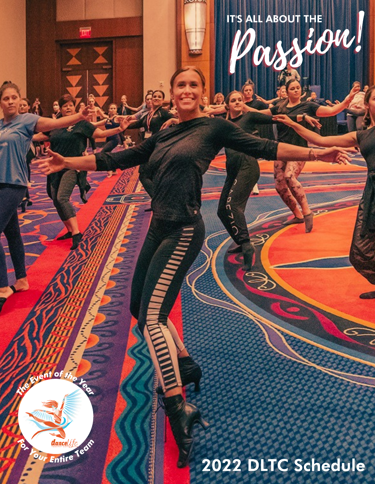IT'S ALL ABOUT THE

 $rac{1}{\sqrt{2}}$ 

ิ์ว

Z

# The Head of the Year our Entire Team

m.

2022 DLTC Schedule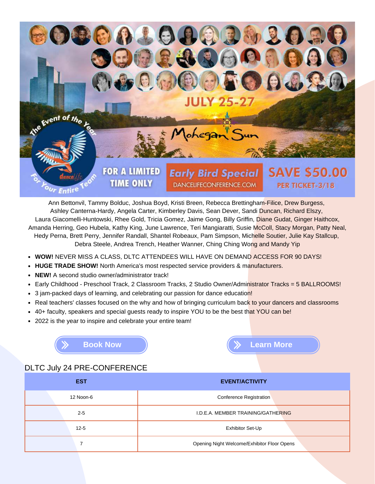

Ann Bettonvil, Tammy Bolduc, Joshua Boyd, Kristi Breen, Rebecca Brettingham-Filice, Drew Burgess, Ashley Canterna-Hardy, Angela Carter, Kimberley Davis, Sean Dever, Sandi Duncan, Richard Elszy, Laura Giacomelli-Huntowski, Rhee Gold, Tricia Gomez, Jaime Gong, Billy Griffin, Diane Gudat, Ginger Haithcox, Amanda Herring, Geo Hubela, Kathy King, June Lawrence, Teri Mangiaratti, Susie McColl, Stacy Morgan, Patty Neal, Hedy Perna, Brett Perry, Jennifer Randall, Shantel Robeaux, Pam Simpson, Michelle Soutier, Julie Kay Stallcup, Debra Steele, Andrea Trench, Heather Wanner, Ching Ching Wong and Mandy Yip

- **WOW!** NEVER MISS A CLASS, DLTC ATTENDEES WILL HAVE ON DEMAND ACCESS FOR 90 DAYS!
- **HUGE TRADE SHOW!** North America's most respected service providers & manufacturers.
- **NEW!** A second studio owner/administrator track!
- Early Childhood Preschool Track, 2 Classroom Tracks, 2 Studio Owner/Administrator Tracks = 5 BALLROOMS!  $\bullet$
- 3 jam-packed days of learning, and celebrating our passion for dance education!  $\bullet$
- Real teachers' classes focused on the why and how of bringing curriculum back to your dancers and classrooms  $\bullet$
- $\bullet$ 40+ faculty, speakers and special guests ready to inspire YOU to be the best that YOU can be!
- 2022 is the year to inspire and celebrate your entire team!

**[Book Now](https://reg.learningstream.com/view/cal1a.aspx?ek=&ref=&aa=&sid1=&sid2=&as=26&wp=450&tz=&ms=&nav=&cc=&cat1=&cat2=&cat3=&aid=RGC&rf=) [Learn More](https://rheegold.com/dltchome/)**

DLTC July 24 PRE-CONFERENCE

| <b>EST</b> | <b>EVENT/ACTIVITY</b>                       |  |  |
|------------|---------------------------------------------|--|--|
| 12 Noon-6  | <b>Conference Registration</b>              |  |  |
| $2 - 5$    | I.D.E.A. MEMBER TRAINING/GATHERING          |  |  |
| $12 - 5$   | Exhibitor Set-Up                            |  |  |
|            | Opening Night Welcome/Exhibitor Floor Opens |  |  |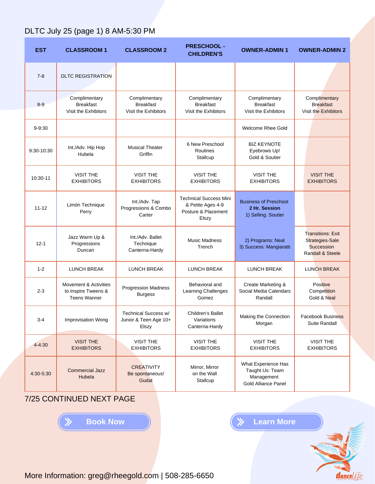# DLTC July 25 (page 1) 8 AM-5:30 PM

| <b>EST</b> | <b>CLASSROOM 1</b>                                                  | <b>CLASSROOM 2</b>                                        | <b>PRESCHOOL -</b><br><b>CHILDREN'S</b>                                            | <b>OWNER-ADMIN 1</b>                                                               | <b>OWNER-ADMIN 2</b>                                                          |
|------------|---------------------------------------------------------------------|-----------------------------------------------------------|------------------------------------------------------------------------------------|------------------------------------------------------------------------------------|-------------------------------------------------------------------------------|
| $7 - 8$    | <b>DLTC REGISTRATION</b>                                            |                                                           |                                                                                    |                                                                                    |                                                                               |
| $8 - 9$    | Complimentary<br><b>Breakfast</b><br>Visit the Exhibitors           | Complimentary<br><b>Breakfast</b><br>Visit the Exhibitors | Complimentary<br><b>Breakfast</b><br>Visit the Exhibitors                          | Complimentary<br><b>Breakfast</b><br>Visit the Exhibitors                          | Complimentary<br><b>Breakfast</b><br>Visit the Exhibitors                     |
| $9 - 9:30$ |                                                                     |                                                           |                                                                                    | <b>Welcome Rhee Gold</b>                                                           |                                                                               |
| 9:30-10:30 | Int./Adv. Hip Hop<br>Hubela                                         | <b>Musical Theater</b><br>Griffin                         | 6 New Preschool<br>Routines<br>Stallcup                                            | <b>BIZ KEYNOTE</b><br>Eyebrows Up!<br>Gold & Soutier                               |                                                                               |
| 10:30-11   | <b>VISIT THE</b><br><b>EXHIBITORS</b>                               | <b>VISIT THE</b><br><b>EXHIBITORS</b>                     | <b>VISIT THE</b><br><b>EXHIBITORS</b>                                              | <b>VISIT THE</b><br><b>EXHIBITORS</b>                                              | <b>VISIT THE</b><br><b>EXHIBITORS</b>                                         |
| $11 - 12$  | Limón Technique<br>Perry                                            | Int./Adv. Tap<br>Progressions & Combo<br>Carter           | <b>Technical Success Mini</b><br>& Petite Ages 4-9<br>Posture & Placement<br>Elszy | <b>Business of Preschool</b><br>2 Hr. Session<br>1) Selling: Soutier               |                                                                               |
| $12 - 1$   | Jazz Warm Up &<br>Progressions<br>Duncan                            | Int./Adv. Ballet<br>Technique<br>Canterna-Hardy           | <b>Music Madness</b><br>Trench                                                     | 2) Programs: Neal<br>3) Success: Mangiaratti                                       | <b>Transitions: Exit</b><br>Strategies-Sale<br>Succession<br>Randall & Steele |
| $1 - 2$    | <b>LUNCH BREAK</b>                                                  | <b>LUNCH BREAK</b>                                        | <b>LUNCH BREAK</b>                                                                 | <b>LUNCH BREAK</b>                                                                 | <b>LUNCH BREAK</b>                                                            |
| $2 - 3$    | Movement & Activities<br>to Inspire Tweens &<br><b>Teens Wanner</b> | <b>Progression Madness</b><br><b>Burgess</b>              | Behavioral and<br>Learning Challenges<br>Gomez                                     | Create Marketing &<br>Social Media Calendars<br>Randall                            | <b>Positive</b><br>Competition<br>Gold & Neal                                 |
| $3-4$      | <b>Improvisation Wong</b>                                           | Technical Success w/<br>Junior & Teen Age 10+<br>Elszy    | Children's Ballet<br>Variations<br>Canterna-Hardy                                  | Making the Connection<br>Morgan                                                    | Facebook Business<br>Suite Randall                                            |
| $4 - 4:30$ | <b>VISIT THE</b><br><b>EXHIBITORS</b>                               | <b>VISIT THE</b><br><b>EXHIBITORS</b>                     | <b>VISIT THE</b><br><b>EXHIBITORS</b>                                              | <b>VISIT THE</b><br><b>EXHIBITORS</b>                                              | <b>VISIT THE</b><br><b>EXHIBITORS</b>                                         |
| 4:30-5:30  | <b>Commercial Jazz</b><br>Hubela                                    | <b>CREATIVITY</b><br>Be spontaneous!<br>Gudat             | Mirror, Mirror<br>on the Wall<br>Stallcup                                          | What Experience Has<br>Taught Us: Team<br>Management<br><b>Gold Alliance Panel</b> |                                                                               |

7/25 CONTINUED NEXT PAGE

**[Book Now](https://reg.learningstream.com/view/cal1a.aspx?ek=&ref=&aa=&sid1=&sid2=&as=26&wp=450&tz=&ms=&nav=&cc=&cat1=&cat2=&cat3=&aid=RGC&rf=) and Solution (Brand More** 

dancelife

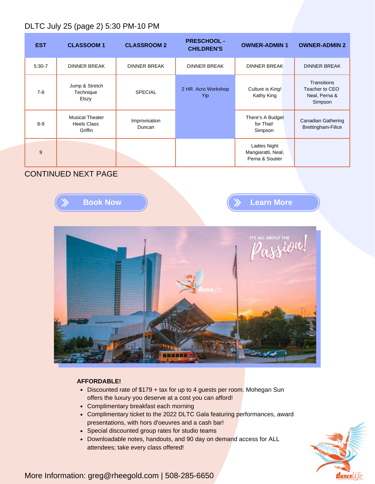## DLTC July 25 (page 2) 5:30 PM-10 PM

| <b>EST</b> | <b>CLASSOOM 1</b>                                       | <b>CLASSROOM 2</b>      | <b>PRESCHOOL -</b><br><b>CHILDREN'S</b> | <b>OWNER-ADMIN 1</b>                                  | <b>OWNER-ADMIN 2</b>                                             |
|------------|---------------------------------------------------------|-------------------------|-----------------------------------------|-------------------------------------------------------|------------------------------------------------------------------|
| $5:30-7$   | <b>DINNER BREAK</b>                                     | <b>DINNER BREAK</b>     | <b>DINNER BREAK</b>                     | <b>DINNER BREAK</b>                                   | <b>DINNER BREAK</b>                                              |
| $7 - 8$    | Jump & Stretch<br>Technique<br>Elszy                    | <b>SPECIAL</b>          | 2 HR. Acro Workshop<br>Yip              | Culture is King!<br>Kathy King                        | <b>Transitions</b><br>Teacher to CEO<br>Neal, Perna &<br>Simpson |
| $8-9$      | <b>Musical Theater</b><br><b>Heels Class</b><br>Griffin | Improvisation<br>Duncan |                                         | There's A Budget<br>for That!<br>Simpson              | <b>Canadian Gathering</b><br>Brettingham-Filice                  |
| 9          |                                                         |                         |                                         | Ladies Night<br>Mangiaratti, Neal,<br>Perna & Soutier |                                                                  |

### CONTINUED NEXT PAGE







### **AFFORDABLE!**

- Discounted rate of \$179 + tax for up to 4 guests per room. Mohegan Sun offers the luxury you deserve at a cost you can afford!
- Complimentary breakfast each morning
- Complimentary ticket to the 2022 DLTC Gala featuring performances, award presentations, with hors d'oeuvres and a cash bar!
- Special discounted group rates for studio teams
- Downloadable notes, handouts, and 90 day on demand access for ALL attendees; take every class offered!

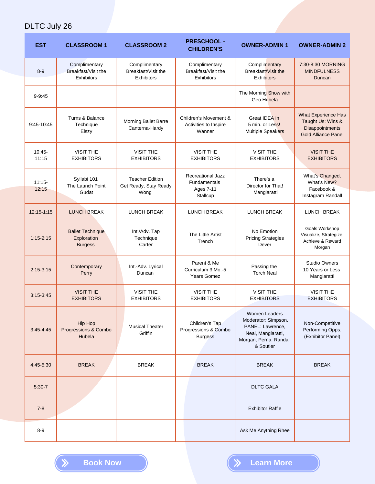# DLTC July 26

| <b>EST</b>        | <b>CLASSROOM 1</b>                                       | <b>CLASSROOM 2</b>                                        | <b>PRESCHOOL -</b><br><b>CHILDREN'S</b>                                  | <b>OWNER-ADMIN 1</b>                                                                                                  | <b>OWNER-ADMIN 2</b>                                                                      |
|-------------------|----------------------------------------------------------|-----------------------------------------------------------|--------------------------------------------------------------------------|-----------------------------------------------------------------------------------------------------------------------|-------------------------------------------------------------------------------------------|
| $8-9$             | Complimentary<br>Breakfast/Visit the<br>Exhibitors       | Complimentary<br>Breakfast/Visit the<br><b>Exhibitors</b> | Complimentary<br>Breakfast/Visit the<br>Exhibitors                       | Complimentary<br><b>Breakfast/Visit the</b><br><b>Exhibitors</b>                                                      | 7:30-8:30 MORNING<br><b>MINDFULNESS</b><br>Duncan                                         |
| $9 - 9:45$        |                                                          |                                                           |                                                                          | The Morning Show with<br><b>Geo Hubela</b>                                                                            |                                                                                           |
| $9:45-10:45$      | Turns & Balance<br>Technique<br>Elszy                    | Morning Ballet Barre<br>Canterna-Hardy                    | Children's Movement &<br>Activities to Inspire<br>Wanner                 | Great IDEA in<br>5 min. or Less!<br>Multiple Speakers                                                                 | What Experience Has<br>Taught Us: Wins &<br>Disappointments<br><b>Gold Alliance Panel</b> |
| 10:45-<br>11:15   | <b>VISIT THE</b><br><b>EXHIBITORS</b>                    | <b>VISIT THE</b><br><b>EXHIBITORS</b>                     | <b>VISIT THE</b><br><b>EXHIBITORS</b>                                    | <b>VISIT THE</b><br><b>EXHIBITORS</b>                                                                                 | <b>VISIT THE</b><br><b>EXHIBITORS</b>                                                     |
| $11:15-$<br>12:15 | Syllabi 101<br>The Launch Point<br>Gudat                 | <b>Teacher Edition</b><br>Get Ready, Stay Ready<br>Wong   | <b>Recreational Jazz</b><br><b>Fundamentals</b><br>Ages 7-11<br>Stallcup | There's a<br>Director for That!<br>Mangiaratti                                                                        | What's Changed,<br>What's New?<br>Facebook &<br>Instagram Randall                         |
| 12:15-1:15        | <b>LUNCH BREAK</b>                                       | <b>LUNCH BREAK</b>                                        | <b>LUNCH BREAK</b>                                                       | <b>LUNCH BREAK</b>                                                                                                    | <b>LUNCH BREAK</b>                                                                        |
| $1:15 - 2:15$     | <b>Ballet Technique</b><br>Exploration<br><b>Burgess</b> | Int./Adv. Tap<br>Technique<br>Carter                      | The Little Artist<br>Trench                                              | No Emotion<br><b>Pricing Strategies</b><br>Dever                                                                      | Goals Workshop<br>Visualize, Strategize,<br>Achieve & Reward<br>Morgan                    |
| $2:15 - 3:15$     | Contemporary<br>Perry                                    | Int.-Adv. Lyrical<br>Duncan                               | Parent & Me<br>Curriculum 3 Mo.-5<br><b>Years Gomez</b>                  | Passing the<br><b>Torch Neal</b>                                                                                      | <b>Studio Owners</b><br>10 Years or Less<br>Mangiaratti                                   |
| $3:15-3:45$       | <b>VISIT THE</b><br><b>EXHIBITORS</b>                    | <b>VISIT THE</b><br><b>EXHIBITORS</b>                     | <b>VISIT THE</b><br><b>EXHIBITORS</b>                                    | <b>VISIT THE</b><br><b>EXHIBITORS</b>                                                                                 | <b>VISIT THE</b><br><b>EXHIBITORS</b>                                                     |
| $3:45 - 4:45$     | <b>Hip Hop</b><br>Progressions & Combo<br>Hubela         | <b>Musical Theater</b><br>Griffin                         | Children's Tap<br>Progressions & Combo<br><b>Burgess</b>                 | Women Leaders<br>Moderator: Simpson.<br>PANEL: Lawrence,<br>Neal, Mangiaratti,<br>Morgan, Perna, Randall<br>& Soutier | Non-Competitive<br>Performing Opps.<br>(Exhibitor Panel)                                  |
| 4:45-5:30         | <b>BREAK</b>                                             | <b>BREAK</b>                                              | <b>BREAK</b>                                                             | <b>BREAK</b>                                                                                                          | <b>BREAK</b>                                                                              |
| $5:30-7$          |                                                          |                                                           |                                                                          | <b>DLTC GALA</b>                                                                                                      |                                                                                           |
| $7 - 8$           |                                                          |                                                           |                                                                          | <b>Exhibitor Raffle</b>                                                                                               |                                                                                           |
| $8-9$             |                                                          |                                                           |                                                                          | Ask Me Anything Rhee                                                                                                  |                                                                                           |